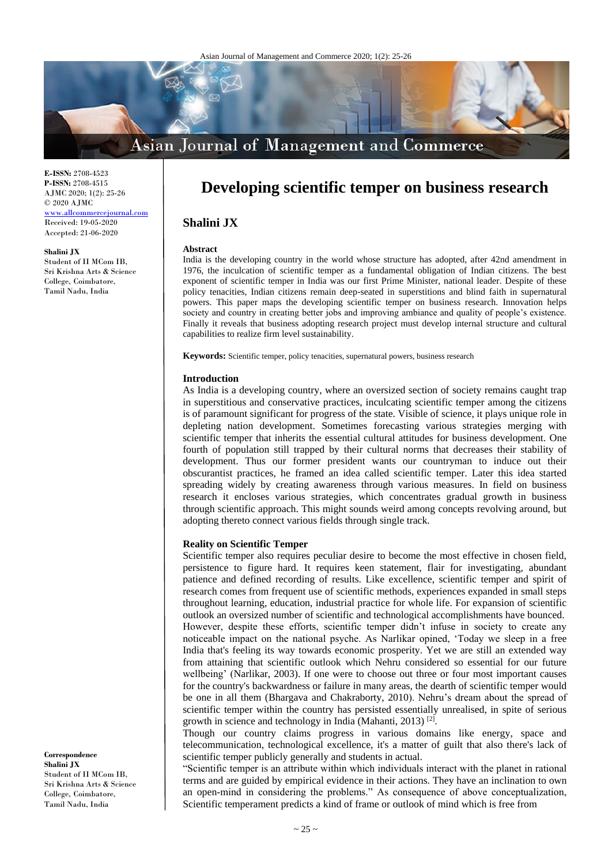# **Asian Journal of Management and Commerce**

**E-ISSN:** 2708-4523 **P-ISSN:** 2708-4515 AJMC 2020; 1(2): 25-26 © 2020 AJMC [www.allcommercejournal.com](file:///D:/2020%20files/01-08-2020/13-08-2020/Commerce%20(upload)/www.allcommercejournal.com)

Received: 19-05-2020 Accepted: 21-06-2020

#### **Shalini JX**

Student of II MCom IB, Sri Krishna Arts & Science College, Coimbatore, Tamil Nadu, India

## **Developing scientific temper on business research**

## **Shalini JX**

#### **Abstract**

India is the developing country in the world whose structure has adopted, after 42nd amendment in 1976, the inculcation of scientific temper as a fundamental obligation of Indian citizens. The best exponent of scientific temper in India was our first Prime Minister, national leader. Despite of these policy tenacities, Indian citizens remain deep-seated in superstitions and blind faith in supernatural powers. This paper maps the developing scientific temper on business research. Innovation helps society and country in creating better jobs and improving ambiance and quality of people's existence. Finally it reveals that business adopting research project must develop internal structure and cultural capabilities to realize firm level sustainability.

**Keywords:** Scientific temper, policy tenacities, supernatural powers, business research

## **Introduction**

As India is a developing country, where an oversized section of society remains caught trap in superstitious and conservative practices, inculcating scientific temper among the citizens is of paramount significant for progress of the state. Visible of science, it plays unique role in depleting nation development. Sometimes forecasting various strategies merging with scientific temper that inherits the essential cultural attitudes for business development. One fourth of population still trapped by their cultural norms that decreases their stability of development. Thus our former president wants our countryman to induce out their obscurantist practices, he framed an idea called scientific temper. Later this idea started spreading widely by creating awareness through various measures. In field on business research it encloses various strategies, which concentrates gradual growth in business through scientific approach. This might sounds weird among concepts revolving around, but adopting thereto connect various fields through single track.

## **Reality on Scientific Temper**

Scientific temper also requires peculiar desire to become the most effective in chosen field, persistence to figure hard. It requires keen statement, flair for investigating, abundant patience and defined recording of results. Like excellence, scientific temper and spirit of research comes from frequent use of scientific methods, experiences expanded in small steps throughout learning, education, industrial practice for whole life. For expansion of scientific outlook an oversized number of scientific and technological accomplishments have bounced. However, despite these efforts, scientific temper didn't infuse in society to create any noticeable impact on the national psyche. As Narlikar opined, 'Today we sleep in a free India that's feeling its way towards economic prosperity. Yet we are still an extended way from attaining that scientific outlook which Nehru considered so essential for our future wellbeing' (Narlikar, 2003). If one were to choose out three or four most important causes for the country's backwardness or failure in many areas, the dearth of scientific temper would be one in all them (Bhargava and Chakraborty, 2010). Nehru's dream about the spread of scientific temper within the country has persisted essentially unrealised, in spite of serious growth in science and technology in India (Mahanti, 2013)<sup>[2]</sup>.

Though our country claims progress in various domains like energy, space and telecommunication, technological excellence, it's a matter of guilt that also there's lack of scientific temper publicly generally and students in actual.

"Scientific temper is an attribute within which individuals interact with the planet in rational terms and are guided by empirical evidence in their actions. They have an inclination to own an open-mind in considering the problems." As consequence of above conceptualization, Scientific temperament predicts a kind of frame or outlook of mind which is free from

**Correspondence Shalini JX** Student of II MCom IB, Sri Krishna Arts & Science College, Coimbatore, Tamil Nadu, India